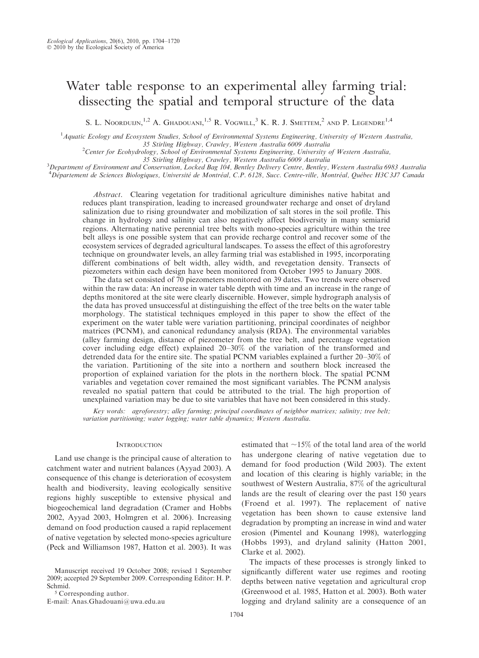# Water table response to an experimental alley farming trial: dissecting the spatial and temporal structure of the data

S. L. Noorduin,  $^{1,2}$  A. Ghadouani,  $^{1,5}$  R. Vogwill,  $^3$  K. R. J. Smettem,  $^2$  and P. Legendre  $^{1,4}$ 

<sup>1</sup> Aquatic Ecology and Ecosystem Studies, School of Environmental Systems Engineering, University of Western Australia,

35 Stirling Highway, Crawley, Western Australia 6009 Australia <sup>2</sup> Center for Ecohydrology, School of Environmental Systems Engineering, University of Western Australia,

35 Stirling Highway, Crawley, Western Australia 6009 Australia<br><sup>3</sup>Department of Environment and Conservation, Locked Bag 104, Bentley Delivery Centre, Bentley, Western Australia 6983 Australia <sup>4</sup> Département de Sciences Biologiques, Université de Montréal, C.P. 6128, Succ. Centre-ville, Montréal, Québec H3C 3J7 Canada

Abstract. Clearing vegetation for traditional agriculture diminishes native habitat and reduces plant transpiration, leading to increased groundwater recharge and onset of dryland salinization due to rising groundwater and mobilization of salt stores in the soil profile. This change in hydrology and salinity can also negatively affect biodiversity in many semiarid regions. Alternating native perennial tree belts with mono-species agriculture within the tree belt alleys is one possible system that can provide recharge control and recover some of the ecosystem services of degraded agricultural landscapes. To assess the effect of this agroforestry technique on groundwater levels, an alley farming trial was established in 1995, incorporating different combinations of belt width, alley width, and revegetation density. Transects of piezometers within each design have been monitored from October 1995 to January 2008.

The data set consisted of 70 piezometers monitored on 39 dates. Two trends were observed within the raw data: An increase in water table depth with time and an increase in the range of depths monitored at the site were clearly discernible. However, simple hydrograph analysis of the data has proved unsuccessful at distinguishing the effect of the tree belts on the water table morphology. The statistical techniques employed in this paper to show the effect of the experiment on the water table were variation partitioning, principal coordinates of neighbor matrices (PCNM), and canonical redundancy analysis (RDA). The environmental variables (alley farming design, distance of piezometer from the tree belt, and percentage vegetation cover including edge effect) explained 20–30% of the variation of the transformed and detrended data for the entire site. The spatial PCNM variables explained a further 20–30% of the variation. Partitioning of the site into a northern and southern block increased the proportion of explained variation for the plots in the northern block. The spatial PCNM variables and vegetation cover remained the most significant variables. The PCNM analysis revealed no spatial pattern that could be attributed to the trial. The high proportion of unexplained variation may be due to site variables that have not been considered in this study.

Key words: agroforestry; alley farming; principal coordinates of neighbor matrices; salinity; tree belt; variation partitioning; water logging; water table dynamics; Western Australia.

#### **INTRODUCTION**

Land use change is the principal cause of alteration to catchment water and nutrient balances (Ayyad 2003). A consequence of this change is deterioration of ecosystem health and biodiversity, leaving ecologically sensitive regions highly susceptible to extensive physical and biogeochemical land degradation (Cramer and Hobbs 2002, Ayyad 2003, Holmgren et al. 2006). Increasing demand on food production caused a rapid replacement of native vegetation by selected mono-species agriculture (Peck and Williamson 1987, Hatton et al. 2003). It was

<sup>5</sup> Corresponding author.

E-mail: Anas.Ghadouani@uwa.edu.au

estimated that  $\sim$ 15% of the total land area of the world has undergone clearing of native vegetation due to demand for food production (Wild 2003). The extent and location of this clearing is highly variable; in the southwest of Western Australia, 87% of the agricultural lands are the result of clearing over the past 150 years (Froend et al. 1997). The replacement of native vegetation has been shown to cause extensive land degradation by prompting an increase in wind and water erosion (Pimentel and Kounang 1998), waterlogging (Hobbs 1993), and dryland salinity (Hatton 2001, Clarke et al. 2002).

The impacts of these processes is strongly linked to significantly different water use regimes and rooting depths between native vegetation and agricultural crop (Greenwood et al. 1985, Hatton et al. 2003). Both water logging and dryland salinity are a consequence of an

Manuscript received 19 October 2008; revised 1 September 2009; accepted 29 September 2009. Corresponding Editor: H. P. Schmid.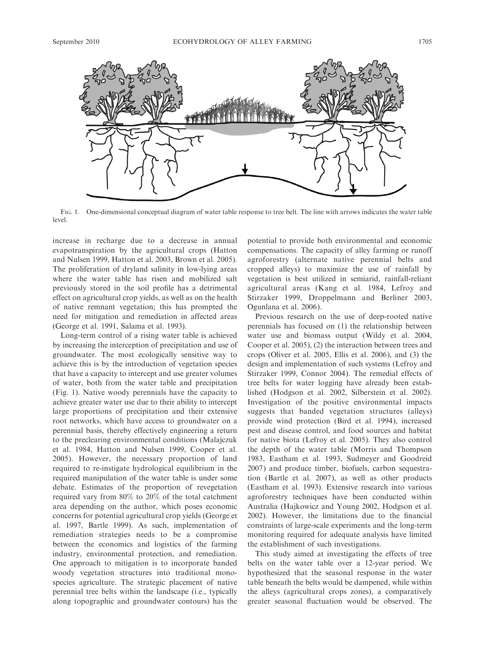

FIG. 1. One-dimensional conceptual diagram of water table response to tree belt. The line with arrows indicates the water table level.

increase in recharge due to a decrease in annual evapotranspiration by the agricultural crops (Hatton and Nulsen 1999, Hatton et al. 2003, Brown et al. 2005). The proliferation of dryland salinity in low-lying areas where the water table has risen and mobilized salt previously stored in the soil profile has a detrimental effect on agricultural crop yields, as well as on the health of native remnant vegetation; this has prompted the need for mitigation and remediation in affected areas (George et al. 1991, Salama et al. 1993).

Long-term control of a rising water table is achieved by increasing the interception of precipitation and use of groundwater. The most ecologically sensitive way to achieve this is by the introduction of vegetation species that have a capacity to intercept and use greater volumes of water, both from the water table and precipitation (Fig. 1). Native woody perennials have the capacity to achieve greater water use due to their ability to intercept large proportions of precipitation and their extensive root networks, which have access to groundwater on a perennial basis, thereby effectively engineering a return to the preclearing environmental conditions (Malajczuk et al. 1984, Hatton and Nulsen 1999, Cooper et al. 2005). However, the necessary proportion of land required to re-instigate hydrological equilibrium in the required manipulation of the water table is under some debate. Estimates of the proportion of revegetation required vary from 80% to 20% of the total catchment area depending on the author, which poses economic concerns for potential agricultural crop yields (George et al. 1997, Bartle 1999). As such, implementation of remediation strategies needs to be a compromise between the economics and logistics of the farming industry, environmental protection, and remediation. One approach to mitigation is to incorporate banded woody vegetation structures into traditional monospecies agriculture. The strategic placement of native perennial tree belts within the landscape (i.e., typically along topographic and groundwater contours) has the potential to provide both environmental and economic compensations. The capacity of alley farming or runoff agroforestry (alternate native perennial belts and cropped alleys) to maximize the use of rainfall by vegetation is best utilized in semiarid, rainfall-reliant agricultural areas (Kang et al. 1984, Lefroy and Stirzaker 1999, Droppelmann and Berliner 2003, Ogunlana et al. 2006).

Previous research on the use of deep-rooted native perennials has focused on (1) the relationship between water use and biomass output (Wildy et al. 2004, Cooper et al. 2005), (2) the interaction between trees and crops (Oliver et al. 2005, Ellis et al. 2006), and (3) the design and implementation of such systems (Lefroy and Stirzaker 1999, Connor 2004). The remedial effects of tree belts for water logging have already been established (Hodgson et al. 2002, Silberstein et al. 2002). Investigation of the positive environmental impacts suggests that banded vegetation structures (alleys) provide wind protection (Bird et al. 1994), increased pest and disease control, and food sources and habitat for native biota (Lefroy et al. 2005). They also control the depth of the water table (Morris and Thompson 1983, Eastham et al. 1993, Sudmeyer and Goodreid 2007) and produce timber, biofuels, carbon sequestration (Bartle et al. 2007), as well as other products (Eastham et al. 1993). Extensive research into various agroforestry techniques have been conducted within Australia (Hajkowicz and Young 2002, Hodgson et al. 2002). However, the limitations due to the financial constraints of large-scale experiments and the long-term monitoring required for adequate analysis have limited the establishment of such investigations.

This study aimed at investigating the effects of tree belts on the water table over a 12-year period. We hypothesized that the seasonal response in the water table beneath the belts would be dampened, while within the alleys (agricultural crops zones), a comparatively greater seasonal fluctuation would be observed. The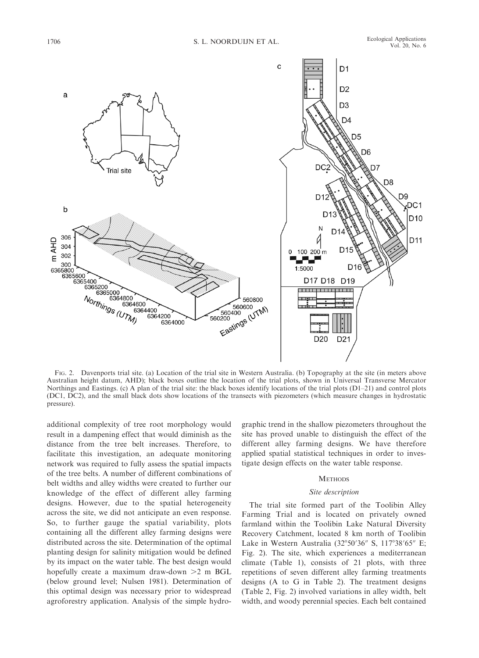

FIG. 2. Davenports trial site. (a) Location of the trial site in Western Australia. (b) Topography at the site (in meters above Australian height datum, AHD); black boxes outline the location of the trial plots, shown in Universal Transverse Mercator Northings and Eastings. (c) A plan of the trial site: the black boxes identify locations of the trial plots (D1–21) and control plots (DC1, DC2), and the small black dots show locations of the transects with piezometers (which measure changes in hydrostatic pressure).

additional complexity of tree root morphology would result in a dampening effect that would diminish as the distance from the tree belt increases. Therefore, to facilitate this investigation, an adequate monitoring network was required to fully assess the spatial impacts of the tree belts. A number of different combinations of belt widths and alley widths were created to further our knowledge of the effect of different alley farming designs. However, due to the spatial heterogeneity across the site, we did not anticipate an even response. So, to further gauge the spatial variability, plots containing all the different alley farming designs were distributed across the site. Determination of the optimal planting design for salinity mitigation would be defined by its impact on the water table. The best design would hopefully create a maximum draw-down  $>2$  m BGL (below ground level; Nulsen 1981). Determination of this optimal design was necessary prior to widespread agroforestry application. Analysis of the simple hydrographic trend in the shallow piezometers throughout the site has proved unable to distinguish the effect of the different alley farming designs. We have therefore applied spatial statistical techniques in order to investigate design effects on the water table response.

## **METHODS**

#### Site description

The trial site formed part of the Toolibin Alley Farming Trial and is located on privately owned farmland within the Toolibin Lake Natural Diversity Recovery Catchment, located 8 km north of Toolibin Lake in Western Australia (32°50'36" S, 117°38'65" E; Fig. 2). The site, which experiences a mediterranean climate (Table 1), consists of 21 plots, with three repetitions of seven different alley farming treatments designs (A to G in Table 2). The treatment designs (Table 2, Fig. 2) involved variations in alley width, belt width, and woody perennial species. Each belt contained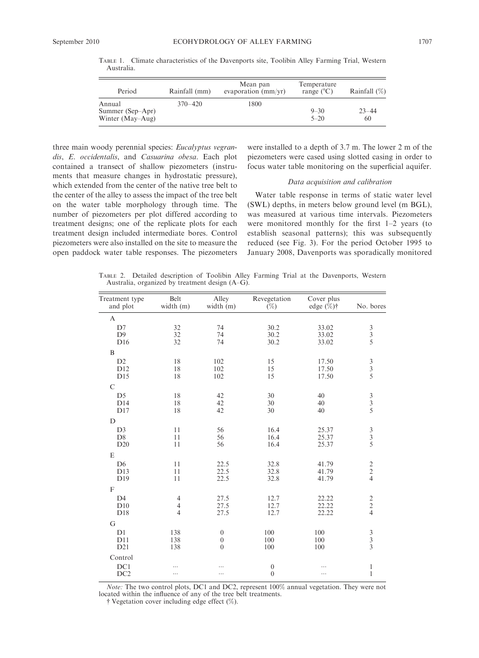| Period           | Rainfall (mm) | Mean pan<br>evaporation $\text{(mm/yr)}$ | Temperature<br>range $(^{\circ}C)$ | Rainfall $(\%)$ |
|------------------|---------------|------------------------------------------|------------------------------------|-----------------|
| Annual           | $370 - 420$   | 1800                                     |                                    |                 |
| Summer (Sep–Apr) |               |                                          | $9 - 30$                           | $23 - 44$       |
| Winter (May–Aug) |               |                                          | $5 - 20$                           | 60              |

TABLE 1. Climate characteristics of the Davenports site, Toolibin Alley Farming Trial, Western Australia.

three main woody perennial species: Eucalyptus vegrandis, E. occidentalis, and Casuarina obesa. Each plot contained a transect of shallow piezometers (instruments that measure changes in hydrostatic pressure), which extended from the center of the native tree belt to the center of the alley to assess the impact of the tree belt on the water table morphology through time. The number of piezometers per plot differed according to treatment designs; one of the replicate plots for each treatment design included intermediate bores. Control piezometers were also installed on the site to measure the open paddock water table responses. The piezometers

 $\overline{a}$ 

were installed to a depth of 3.7 m. The lower 2 m of the piezometers were cased using slotted casing in order to focus water table monitoring on the superficial aquifer.

## Data acquisition and calibration

Water table response in terms of static water level (SWL) depths, in meters below ground level (m BGL), was measured at various time intervals. Piezometers were monitored monthly for the first 1–2 years (to establish seasonal patterns); this was subsequently reduced (see Fig. 3). For the period October 1995 to January 2008, Davenports was sporadically monitored

TABLE 2. Detailed description of Toolibin Alley Farming Trial at the Davenports, Western Australia, organized by treatment design (A–G).

| Treatment type | Belt           | Alley            | Revegetation | Cover plus         | No. bores                                  |
|----------------|----------------|------------------|--------------|--------------------|--------------------------------------------|
| and plot       | width $(m)$    | width $(m)$      | $(\%)$       | edge $(\%)\dagger$ |                                            |
| A              |                |                  |              |                    |                                            |
| D7             | 32             | 74               | 30.2         | 33.02              | $\begin{array}{c} 3 \\ 3 \\ 5 \end{array}$ |
| D <sup>9</sup> | 32             | 74               | 30.2         | 33.02              |                                            |
| D16            | 32             | 74               | 30.2         | 33.02              |                                            |
| B              |                |                  |              |                    |                                            |
| D2             | 18             | 102              | 15           | 17.50              | $\begin{array}{c} 3 \\ 3 \\ 5 \end{array}$ |
| D12            | 18             | 102              | 15           | 17.50              |                                            |
| D15            | 18             | 102              | 15           | 17.50              |                                            |
| $\mathsf{C}$   |                |                  |              |                    |                                            |
| D <sub>5</sub> | 18             | 42               | 30           | 40                 | $\begin{array}{c} 3 \\ 3 \\ 5 \end{array}$ |
| D14            | 18             | 42               | 30           | 40                 |                                            |
| D17            | 18             | 42               | 30           | 40                 |                                            |
| $\mathbf D$    |                |                  |              |                    |                                            |
| D <sub>3</sub> | 11             | 56               | 16.4         | 25.37              | $\begin{array}{c} 3 \\ 3 \\ 5 \end{array}$ |
| D <sub>8</sub> | 11             | 56               | 16.4         | 25.37              |                                            |
| D20            | 11             | 56               | 16.4         | 25.37              |                                            |
| E              |                |                  |              |                    |                                            |
| D <sub>6</sub> | 11             | 22.5             | 32.8         | 41.79              | $\frac{2}{4}$                              |
| D13            | 11             | 22.5             | 32.8         | 41.79              |                                            |
| D19            | 11             | 22.5             | 32.8         | 41.79              |                                            |
| F              |                |                  |              |                    |                                            |
| D <sub>4</sub> | $\overline{4}$ | 27.5             | 12.7         | 22.22              | $\frac{2}{4}$                              |
| D10            | $\overline{4}$ | 27.5             | 12.7         | 22.22              |                                            |
| D18            | $\overline{4}$ | 27.5             | 12.7         | 22.22              |                                            |
| G              |                |                  |              |                    |                                            |
| D1             | 138            | $\boldsymbol{0}$ | 100          | 100                | $\begin{array}{c} 3 \\ 3 \\ 3 \end{array}$ |
| D11            | 138            | $\mathbf{0}$     | 100          | 100                |                                            |
| D21            | 138            | $\theta$         | 100          | 100                |                                            |
| Control        |                |                  |              |                    |                                            |
| DC1            |                | .                | $\mathbf{0}$ |                    | 1                                          |
| DC2            | .              | .                | $\theta$     | .                  | $\mathbf{1}$                               |

Note: The two control plots, DC1 and DC2, represent 100% annual vegetation. They were not located within the influence of any of the tree belt treatments.

- Vegetation cover including edge effect (%).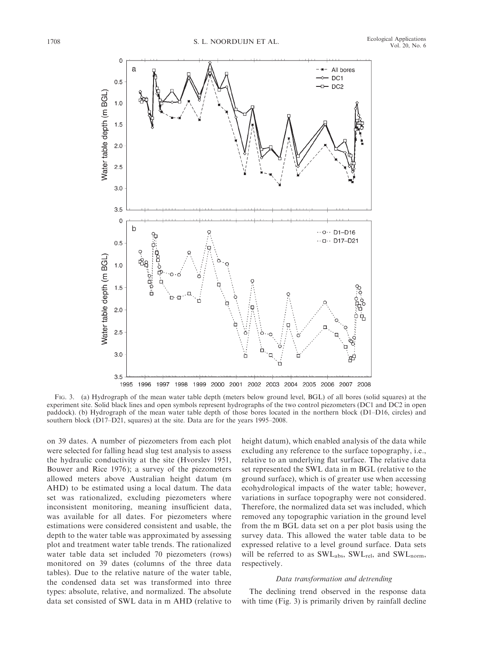

FIG. 3. (a) Hydrograph of the mean water table depth (meters below ground level, BGL) of all bores (solid squares) at the experiment site. Solid black lines and open symbols represent hydrographs of the two control piezometers (DC1 and DC2 in open paddock). (b) Hydrograph of the mean water table depth of those bores located in the northern block (D1–D16, circles) and southern block (D17–D21, squares) at the site. Data are for the years 1995–2008.

on 39 dates. A number of piezometers from each plot were selected for falling head slug test analysis to assess the hydraulic conductivity at the site (Hvorslev 1951, Bouwer and Rice 1976); a survey of the piezometers allowed meters above Australian height datum (m AHD) to be estimated using a local datum. The data set was rationalized, excluding piezometers where inconsistent monitoring, meaning insufficient data, was available for all dates. For piezometers where estimations were considered consistent and usable, the depth to the water table was approximated by assessing plot and treatment water table trends. The rationalized water table data set included 70 piezometers (rows) monitored on 39 dates (columns of the three data tables). Due to the relative nature of the water table, the condensed data set was transformed into three types: absolute, relative, and normalized. The absolute data set consisted of SWL data in m AHD (relative to height datum), which enabled analysis of the data while excluding any reference to the surface topography, i.e., relative to an underlying flat surface. The relative data set represented the SWL data in m BGL (relative to the ground surface), which is of greater use when accessing ecohydrological impacts of the water table; however, variations in surface topography were not considered. Therefore, the normalized data set was included, which removed any topographic variation in the ground level from the m BGL data set on a per plot basis using the survey data. This allowed the water table data to be expressed relative to a level ground surface. Data sets will be referred to as  $SWL<sub>abs</sub>$ ,  $SWL<sub>rel</sub>$ , and  $SWL<sub>norm</sub>$ , respectively.

## Data transformation and detrending

The declining trend observed in the response data with time (Fig. 3) is primarily driven by rainfall decline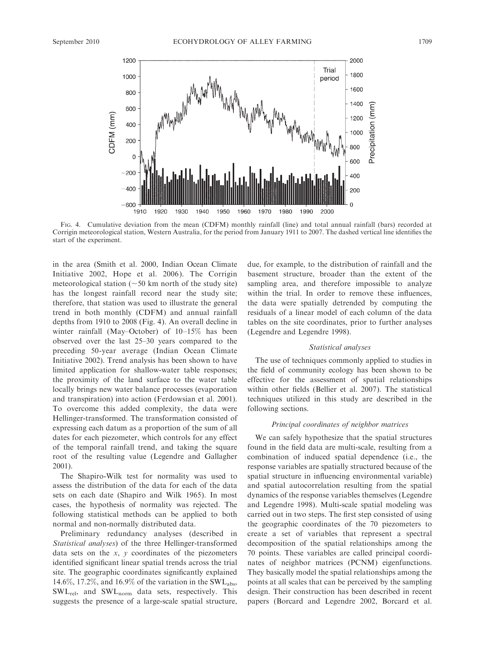

FIG. 4. Cumulative deviation from the mean (CDFM) monthly rainfall (line) and total annual rainfall (bars) recorded at Corrigin meteorological station, Western Australia, for the period from January 1911 to 2007. The dashed vertical line identifies the start of the experiment.

in the area (Smith et al. 2000, Indian Ocean Climate Initiative 2002, Hope et al. 2006). The Corrigin meteorological station ( $\sim$  50 km north of the study site) has the longest rainfall record near the study site; therefore, that station was used to illustrate the general trend in both monthly (CDFM) and annual rainfall depths from 1910 to 2008 (Fig. 4). An overall decline in winter rainfall (May–October) of 10–15% has been observed over the last 25–30 years compared to the preceding 50-year average (Indian Ocean Climate Initiative 2002). Trend analysis has been shown to have limited application for shallow-water table responses; the proximity of the land surface to the water table locally brings new water balance processes (evaporation and transpiration) into action (Ferdowsian et al. 2001). To overcome this added complexity, the data were Hellinger-transformed. The transformation consisted of expressing each datum as a proportion of the sum of all dates for each piezometer, which controls for any effect of the temporal rainfall trend, and taking the square root of the resulting value (Legendre and Gallagher 2001).

The Shapiro-Wilk test for normality was used to assess the distribution of the data for each of the data sets on each date (Shapiro and Wilk 1965). In most cases, the hypothesis of normality was rejected. The following statistical methods can be applied to both normal and non-normally distributed data.

Preliminary redundancy analyses (described in Statistical analyses) of the three Hellinger-transformed data sets on the  $x$ ,  $y$  coordinates of the piezometers identified significant linear spatial trends across the trial site. The geographic coordinates significantly explained 14.6%, 17.2%, and 16.9% of the variation in the  $SWL<sub>abs</sub>$ ,  $SWL_{rel}$ , and  $SWL_{norm}$  data sets, respectively. This suggests the presence of a large-scale spatial structure, due, for example, to the distribution of rainfall and the basement structure, broader than the extent of the sampling area, and therefore impossible to analyze within the trial. In order to remove these influences, the data were spatially detrended by computing the residuals of a linear model of each column of the data tables on the site coordinates, prior to further analyses (Legendre and Legendre 1998).

# Statistical analyses

The use of techniques commonly applied to studies in the field of community ecology has been shown to be effective for the assessment of spatial relationships within other fields (Bellier et al. 2007). The statistical techniques utilized in this study are described in the following sections.

#### Principal coordinates of neighbor matrices

We can safely hypothesize that the spatial structures found in the field data are multi-scale, resulting from a combination of induced spatial dependence (i.e., the response variables are spatially structured because of the spatial structure in influencing environmental variable) and spatial autocorrelation resulting from the spatial dynamics of the response variables themselves (Legendre and Legendre 1998). Multi-scale spatial modeling was carried out in two steps. The first step consisted of using the geographic coordinates of the 70 piezometers to create a set of variables that represent a spectral decomposition of the spatial relationships among the 70 points. These variables are called principal coordinates of neighbor matrices (PCNM) eigenfunctions. They basically model the spatial relationships among the points at all scales that can be perceived by the sampling design. Their construction has been described in recent papers (Borcard and Legendre 2002, Borcard et al.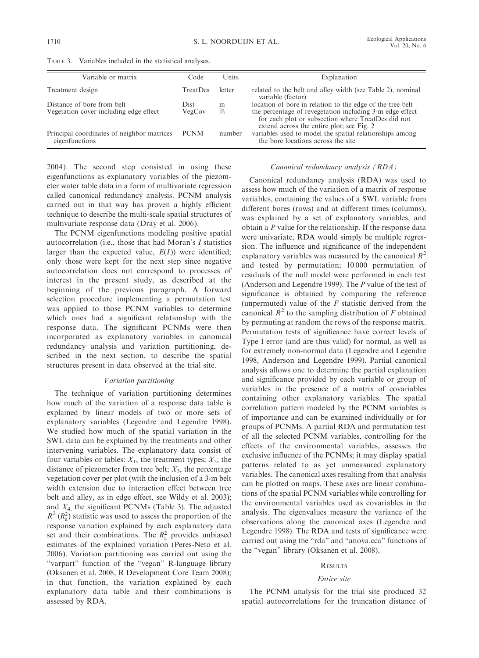TABLE 3. Variables included in the statistical analyses.

| Variable or matrix                                           | Code        | Units  | Explanation                                                                                                                                                 |
|--------------------------------------------------------------|-------------|--------|-------------------------------------------------------------------------------------------------------------------------------------------------------------|
| Treatment design                                             | TreatDes    | letter | related to the belt and alley width (see Table 2), nominal<br>variable (factor)                                                                             |
| Distance of bore from belt                                   | Dist.       | m      | location of bore in relation to the edge of the tree belt                                                                                                   |
| Vegetation cover including edge effect                       | VegCov      | $\%$   | the percentage of revegetation including 3-m edge effect<br>for each plot or subsection where TreatDes did not<br>extend across the entire plot; see Fig. 2 |
| Principal coordinates of neighbor matrices<br>eigenfunctions | <b>PCNM</b> | number | variables used to model the spatial relationships among<br>the bore locations across the site                                                               |

2004). The second step consisted in using these eigenfunctions as explanatory variables of the piezometer water table data in a form of multivariate regression called canonical redundancy analysis. PCNM analysis carried out in that way has proven a highly efficient technique to describe the multi-scale spatial structures of multivariate response data (Dray et al. 2006).

The PCNM eigenfunctions modeling positive spatial autocorrelation (i.e., those that had Moran's I statistics larger than the expected value,  $E(I)$ ) were identified; only those were kept for the next step since negative autocorrelation does not correspond to processes of interest in the present study, as described at the beginning of the previous paragraph. A forward selection procedure implementing a permutation test was applied to those PCNM variables to determine which ones had a significant relationship with the response data. The significant PCNMs were then incorporated as explanatory variables in canonical redundancy analysis and variation partitioning, described in the next section, to describe the spatial structures present in data observed at the trial site.

## Variation partitioning

The technique of variation partitioning determines how much of the variation of a response data table is explained by linear models of two or more sets of explanatory variables (Legendre and Legendre 1998). We studied how much of the spatial variation in the SWL data can be explained by the treatments and other intervening variables. The explanatory data consist of four variables or tables:  $X_1$ , the treatment types;  $X_2$ , the distance of piezometer from tree belt;  $X_3$ , the percentage vegetation cover per plot (with the inclusion of a 3-m belt width extension due to interaction effect between tree belt and alley, as in edge effect, see Wildy et al. 2003); and  $X_4$ , the significant PCNMs (Table 3). The adjusted  $R^2$  ( $R_a^2$ ) statistic was used to assess the proportion of the response variation explained by each explanatory data set and their combinations. The  $R_a^2$  provides unbiased estimates of the explained variation (Peres-Neto et al. 2006). Variation partitioning was carried out using the ''varpart'' function of the ''vegan'' R-language library (Oksanen et al. 2008, R Development Core Team 2008); in that function, the variation explained by each explanatory data table and their combinations is assessed by RDA.

## Canonical redundancy analysis (RDA)

Canonical redundancy analysis (RDA) was used to assess how much of the variation of a matrix of response variables, containing the values of a SWL variable from different bores (rows) and at different times (columns), was explained by a set of explanatory variables, and obtain a P value for the relationship. If the response data were univariate, RDA would simply be multiple regression. The influence and significance of the independent explanatory variables was measured by the canonical  $R^2$ and tested by permutation; 10 000 permutation of residuals of the null model were performed in each test (Anderson and Legendre 1999). The P value of the test of significance is obtained by comparing the reference (unpermuted) value of the  $F$  statistic derived from the canonical  $R^2$  to the sampling distribution of F obtained by permuting at random the rows of the response matrix. Permutation tests of significance have correct levels of Type I error (and are thus valid) for normal, as well as for extremely non-normal data (Legendre and Legendre 1998, Anderson and Legendre 1999). Partial canonical analysis allows one to determine the partial explanation and significance provided by each variable or group of variables in the presence of a matrix of covariables containing other explanatory variables. The spatial correlation pattern modeled by the PCNM variables is of importance and can be examined individually or for groups of PCNMs. A partial RDA and permutation test of all the selected PCNM variables, controlling for the effects of the environmental variables, assesses the exclusive influence of the PCNMs; it may display spatial patterns related to as yet unmeasured explanatory variables. The canonical axes resulting from that analysis can be plotted on maps. These axes are linear combinations of the spatial PCNM variables while controlling for the environmental variables used as covariables in the analysis. The eigenvalues measure the variance of the observations along the canonical axes (Legendre and Legendre 1998). The RDA and tests of significance were carried out using the ''rda'' and ''anova.cca'' functions of the ''vegan'' library (Oksanen et al. 2008).

## **RESULTS**

#### Entire site

The PCNM analysis for the trial site produced 32 spatial autocorrelations for the truncation distance of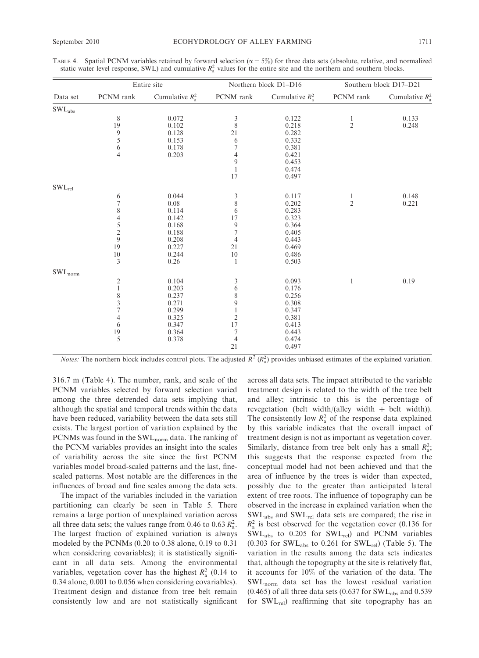|                            | Entire site             |                    | Northern block D1-D16    |                    | Southern block D17-D21 |                    |
|----------------------------|-------------------------|--------------------|--------------------------|--------------------|------------------------|--------------------|
| Data set                   | PCNM rank               | Cumulative $R_a^2$ | PCNM rank                | Cumulative $R_a^2$ | PCNM rank              | Cumulative $R_a^2$ |
| $SWL_{abs}$                |                         |                    |                          |                    |                        |                    |
|                            | $\,$ 8 $\,$             | 0.072              |                          | 0.122              | 1                      | 0.133              |
|                            | 19                      | 0.102              | $\frac{3}{8}$            | 0.218              | $\overline{c}$         | 0.248              |
|                            | 9                       | 0.128              | 21                       | 0.282              |                        |                    |
|                            | 5                       | 0.153              | 6                        | 0.332              |                        |                    |
|                            | 6                       | 0.178              | $\overline{7}$           | 0.381              |                        |                    |
|                            | 4                       | 0.203              | $\overline{\mathcal{L}}$ | 0.421              |                        |                    |
|                            |                         |                    | 9                        | 0.453              |                        |                    |
|                            |                         |                    | $\mathbf{1}$             | 0.474              |                        |                    |
|                            |                         |                    | 17                       | 0.497              |                        |                    |
| $SWL_{rel}$                |                         |                    |                          |                    |                        |                    |
|                            | 6                       | 0.044              |                          | 0.117              | $\mathbf{I}$           | 0.148              |
|                            | 7                       | 0.08               | $\frac{3}{8}$            | 0.202              | $\overline{c}$         | 0.221              |
|                            | 8                       | 0.114              | 6                        | 0.283              |                        |                    |
|                            | 4                       | 0.142              | 17                       | 0.323              |                        |                    |
|                            | 5                       | 0.168              |                          | 0.364              |                        |                    |
|                            |                         | 0.188              | $\frac{9}{7}$            | 0.405              |                        |                    |
|                            | $\frac{2}{9}$           | 0.208              | 4                        | 0.443              |                        |                    |
|                            | 19                      | 0.227              | 21                       | 0.469              |                        |                    |
|                            | 10                      | 0.244              | 10                       | 0.486              |                        |                    |
|                            | 3                       | 0.26               | 1                        | 0.503              |                        |                    |
| $\text{SWL}_{\text{norm}}$ |                         |                    |                          |                    |                        |                    |
|                            | $\overline{\mathbf{c}}$ | 0.104              |                          | 0.093              | 1                      | 0.19               |
|                            | $\mathbf{1}$            | 0.203              | $\frac{3}{6}$            | 0.176              |                        |                    |
|                            | $\,$ 8 $\,$             | 0.237              | $\,$ $\,$                | 0.256              |                        |                    |
|                            | 3                       | 0.271              | $\frac{9}{1}$            | 0.308              |                        |                    |
|                            | $\boldsymbol{7}$        | 0.299              |                          | 0.347              |                        |                    |
|                            | 4                       | 0.325              | $\frac{2}{17}$           | 0.381              |                        |                    |
|                            | 6                       | 0.347              |                          | 0.413              |                        |                    |
|                            | 19                      | 0.364              | 7                        | 0.443              |                        |                    |
|                            | 5                       | 0.378              | $\overline{\mathcal{L}}$ | 0.474              |                        |                    |
|                            |                         |                    | 21                       | 0.497              |                        |                    |

TABLE 4. Spatial PCNM variables retained by forward selection ( $\alpha = 5\%$ ) for three data sets (absolute, relative, and normalized static water level response, SWL) and cumulative  $R_a^2$  values for the entire site and the northern and southern blocks.

*Notes:* The northern block includes control plots. The adjusted  $R^2 (R_a^2)$  provides unbiased estimates of the explained variation.

316.7 m (Table 4). The number, rank, and scale of the PCNM variables selected by forward selection varied among the three detrended data sets implying that, although the spatial and temporal trends within the data have been reduced, variability between the data sets still exists. The largest portion of variation explained by the PCNMs was found in the SWL<sub>norm</sub> data. The ranking of the PCNM variables provides an insight into the scales of variability across the site since the first PCNM variables model broad-scaled patterns and the last, finescaled patterns. Most notable are the differences in the influences of broad and fine scales among the data sets.

The impact of the variables included in the variation partitioning can clearly be seen in Table 5. There remains a large portion of unexplained variation across all three data sets; the values range from 0.46 to 0.63  $R_a^2$ . The largest fraction of explained variation is always modeled by the PCNMs (0.20 to 0.38 alone, 0.19 to 0.31 when considering covariables); it is statistically significant in all data sets. Among the environmental variables, vegetation cover has the highest  $R_a^2$  (0.14 to 0.34 alone, 0.001 to 0.056 when considering covariables). Treatment design and distance from tree belt remain consistently low and are not statistically significant across all data sets. The impact attributed to the variable treatment design is related to the width of the tree belt and alley; intrinsic to this is the percentage of revegetation (belt width/(alley width  $+$  belt width)). The consistently low  $R_a^2$  of the response data explained by this variable indicates that the overall impact of treatment design is not as important as vegetation cover. Similarly, distance from tree belt only has a small  $R_a^2$ , this suggests that the response expected from the conceptual model had not been achieved and that the area of influence by the trees is wider than expected, possibly due to the greater than anticipated lateral extent of tree roots. The influence of topography can be observed in the increase in explained variation when the  $SWL<sub>abs</sub>$  and  $SWL<sub>rel</sub>$  data sets are compared; the rise in  $R_a^2$  is best observed for the vegetation cover (0.136 for  $SWL_{abs}$  to 0.205 for  $SWL_{rel}$ ) and PCNM variables  $(0.303$  for SWL<sub>abs</sub> to 0.261 for SWL<sub>rel</sub>) (Table 5). The variation in the results among the data sets indicates that, although the topography at the site is relatively flat, it accounts for 10% of the variation of the data. The SWLnorm data set has the lowest residual variation  $(0.465)$  of all three data sets  $(0.637$  for SWL<sub>abs</sub> and 0.539 for SWL<sub>rel</sub>) reaffirming that site topography has an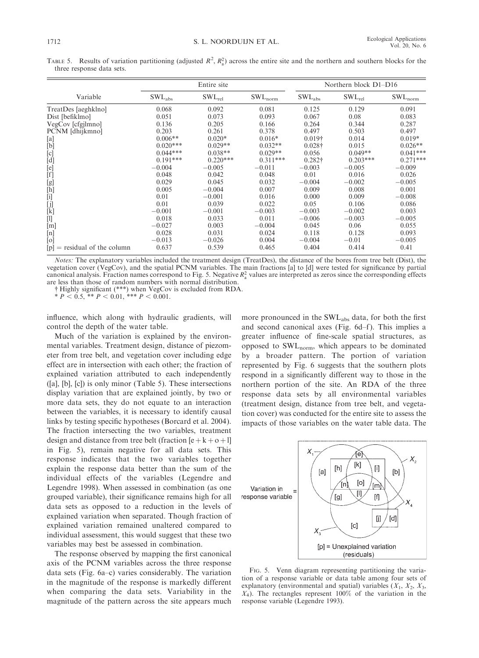TABLE 5. Results of variation partitioning (adjusted  $R^2$ ,  $R_a^2$ ) across the entire site and the northern and southern blocks for the three response data sets.

|                                                                                                                                                                                                                                                                                                                                                                                                                                                                                                                                                                             |                        | Entire site |                            |                        | Northern block D1-D16 |                            |
|-----------------------------------------------------------------------------------------------------------------------------------------------------------------------------------------------------------------------------------------------------------------------------------------------------------------------------------------------------------------------------------------------------------------------------------------------------------------------------------------------------------------------------------------------------------------------------|------------------------|-------------|----------------------------|------------------------|-----------------------|----------------------------|
| Variable                                                                                                                                                                                                                                                                                                                                                                                                                                                                                                                                                                    | $\text{SWL}_{\rm abs}$ | $SWL_{rel}$ | $\text{SWL}_{\text{norm}}$ | $\text{SWL}_{\rm abs}$ | $SWL_{rel}$           | $\text{SWL}_{\text{norm}}$ |
| TreatDes [aeghklno]                                                                                                                                                                                                                                                                                                                                                                                                                                                                                                                                                         | 0.068                  | 0.092       | 0.081                      | 0.125                  | 0.129                 | 0.091                      |
| Dist [befiklmo]                                                                                                                                                                                                                                                                                                                                                                                                                                                                                                                                                             | 0.051                  | 0.073       | 0.093                      | 0.067                  | 0.08                  | 0.083                      |
| VegCov [cfgjlmno]                                                                                                                                                                                                                                                                                                                                                                                                                                                                                                                                                           | 0.136                  | 0.205       | 0.166                      | 0.264                  | 0.344                 | 0.287                      |
| PCNM [dhijkmno]                                                                                                                                                                                                                                                                                                                                                                                                                                                                                                                                                             | 0.203                  | 0.261       | 0.378                      | 0.497                  | 0.503                 | 0.497                      |
| [a]                                                                                                                                                                                                                                                                                                                                                                                                                                                                                                                                                                         | $0.006**$              | $0.020*$    | $0.016*$                   | $0.019\dagger$         | 0.014                 | $0.019*$                   |
| $[b] \centering% \includegraphics[width=1.0\textwidth]{figs/fig_0a}% \includegraphics[width=1.0\textwidth]{figs/fig_0b}% \includegraphics[width=1.0\textwidth]{figs/fig_0b}% \includegraphics[width=1.0\textwidth]{figs/fig_0b}% \includegraphics[width=1.0\textwidth]{figs/fig_0b}% \includegraphics[width=1.0\textwidth]{figs/fig_0b}% \includegraphics[width=1.0\textwidth]{figs/fig_0b}% \includegraphics[width=1.0\textwidth]{figs/fig_0b}% \includegraphics[width=1.0\textwidth]{figs/fig_0b}% \includegraphics[width=1.0\textwidth]{figs/fig_0b}% \includegraphics[$ | $0.020***$             | $0.029**$   | $0.032**$                  | $0.028\dagger$         | 0.015                 | $0.026**$                  |
| [c]                                                                                                                                                                                                                                                                                                                                                                                                                                                                                                                                                                         | $0.044***$             | $0.038**$   | $0.029**$                  | 0.056                  | $0.049**$             | $0.041***$                 |
| $[d]$                                                                                                                                                                                                                                                                                                                                                                                                                                                                                                                                                                       | $0.191***$             | $0.220***$  | $0.311***$                 | $0.282\dagger$         | $0.203***$            | $0.271***$                 |
| $[e] \centering% \includegraphics[width=1.0\textwidth]{figs/fig_0a}% \includegraphics[width=1.0\textwidth]{figs/fig_0b}% \includegraphics[width=1.0\textwidth]{figs/fig_0b}% \includegraphics[width=1.0\textwidth]{figs/fig_0b}% \includegraphics[width=1.0\textwidth]{figs/fig_0b}% \includegraphics[width=1.0\textwidth]{figs/fig_0b}% \includegraphics[width=1.0\textwidth]{figs/fig_0b}% \includegraphics[width=1.0\textwidth]{figs/fig_0b}% \includegraphics[width=1.0\textwidth]{figs/fig_0b}% \includegraphics[width=1.0\textwidth]{figs/fig_0b}% \includegraphics[$ | $-0.004$               | $-0.005$    | $-0.011$                   | $-0.003$               | $-0.005$              | $-0.009$                   |
| [f]                                                                                                                                                                                                                                                                                                                                                                                                                                                                                                                                                                         | 0.048                  | 0.042       | 0.048                      | 0.01                   | 0.016                 | 0.026                      |
|                                                                                                                                                                                                                                                                                                                                                                                                                                                                                                                                                                             | 0.029                  | 0.045       | 0.032                      | $-0.004$               | $-0.002$              | $-0.005$                   |
| $\begin{bmatrix} g \\ h \end{bmatrix}$                                                                                                                                                                                                                                                                                                                                                                                                                                                                                                                                      | 0.005                  | $-0.004$    | 0.007                      | 0.009                  | 0.008                 | 0.001                      |
| $[1] % \begin{center} % \includegraphics[width=\linewidth]{imagesSupplemental_3.png} % \end{center} % \caption { % Our method is used for the method. % Our method is used for the method. % The method is used for the method. % The method is used for the method. % } % \label{fig:example} %$                                                                                                                                                                                                                                                                           | 0.01                   | $-0.001$    | 0.016                      | 0.000                  | 0.009                 | $-0.008$                   |
| $\begin{bmatrix} \mathbf{j} \\ \mathbf{k} \end{bmatrix}$                                                                                                                                                                                                                                                                                                                                                                                                                                                                                                                    | 0.01                   | 0.039       | 0.022                      | 0.05                   | 0.106                 | 0.086                      |
|                                                                                                                                                                                                                                                                                                                                                                                                                                                                                                                                                                             | $-0.001$               | $-0.001$    | $-0.003$                   | $-0.003$               | $-0.002$              | 0.003                      |
| $[1] % \centering \includegraphics[width=0.9\columnwidth]{figures/fig_10.pdf} \caption{The graph $\mathcal{N}_1$ is a function of the number of~\textit{N}_1$ (left) and the number of~\textit{N}_2$ (right) and the number of~\textit{N}_1$ (right) are shown in Fig.~\ref{fig:10}. } \label{fig:11}$                                                                                                                                                                                                                                                                      | 0.018                  | 0.033       | 0.011                      | $-0.006$               | $-0.003$              | $-0.005$                   |
| [m]                                                                                                                                                                                                                                                                                                                                                                                                                                                                                                                                                                         | $-0.027$               | 0.003       | $-0.004$                   | 0.045                  | 0.06                  | 0.055                      |
| [n]                                                                                                                                                                                                                                                                                                                                                                                                                                                                                                                                                                         | 0.028                  | 0.031       | 0.024                      | 0.118                  | 0.128                 | 0.093                      |
| [0]                                                                                                                                                                                                                                                                                                                                                                                                                                                                                                                                                                         | $-0.013$               | $-0.026$    | 0.004                      | $-0.004$               | $-0.01$               | $-0.005$                   |
| $[p]$ = residual of the column                                                                                                                                                                                                                                                                                                                                                                                                                                                                                                                                              | 0.637                  | 0.539       | 0.465                      | 0.404                  | 0.414                 | 0.41                       |

Notes: The explanatory variables included the treatment design (TreatDes), the distance of the bores from tree belt (Dist), the vegetation cover (VegCov), and the spatial PCNM variables. The main fractions [a] to [d] were tested for significance by partial canonical analysis. Fraction names correspond to Fig. 5. Negative  $R_a^2$  values are interpreted as zeros since the corresponding effects are less than those of random numbers with normal distribution.

- Highly significant (\*\*\*) when VegCov is excluded from RDA.

 $P < 0.5$ , \*\*  $P < 0.01$ , \*\*\*  $P < 0.001$ .

influence, which along with hydraulic gradients, will control the depth of the water table.

Much of the variation is explained by the environmental variables. Treatment design, distance of piezometer from tree belt, and vegetation cover including edge effect are in intersection with each other; the fraction of explained variation attributed to each independently ([a], [b], [c]) is only minor (Table 5). These intersections display variation that are explained jointly, by two or more data sets, they do not equate to an interaction between the variables, it is necessary to identify causal links by testing specific hypotheses (Borcard et al. 2004). The fraction intersecting the two variables, treatment design and distance from tree belt (fraction  $[e + k + o + 1]$ in Fig. 5), remain negative for all data sets. This response indicates that the two variables together explain the response data better than the sum of the individual effects of the variables (Legendre and Legendre 1998). When assessed in combination (as one grouped variable), their significance remains high for all data sets as opposed to a reduction in the levels of explained variation when separated. Though fraction of explained variation remained unaltered compared to individual assessment, this would suggest that these two variables may best be assessed in combination.

The response observed by mapping the first canonical axis of the PCNM variables across the three response data sets (Fig. 6a–c) varies considerably. The variation in the magnitude of the response is markedly different when comparing the data sets. Variability in the magnitude of the pattern across the site appears much more pronounced in the SWLabs data, for both the first and second canonical axes (Fig. 6d-f). This implies a greater influence of fine-scale spatial structures, as opposed to SWLnorm, which appears to be dominated by a broader pattern. The portion of variation represented by Fig. 6 suggests that the southern plots respond in a significantly different way to those in the northern portion of the site. An RDA of the three response data sets by all environmental variables (treatment design, distance from tree belt, and vegetation cover) was conducted for the entire site to assess the impacts of those variables on the water table data. The



FIG. 5. Venn diagram representing partitioning the variation of a response variable or data table among four sets of explanatory (environmental and spatial) variables  $(X_1, X_2, X_3, \ldots)$  $X_4$ ). The rectangles represent 100% of the variation in the response variable (Legendre 1993).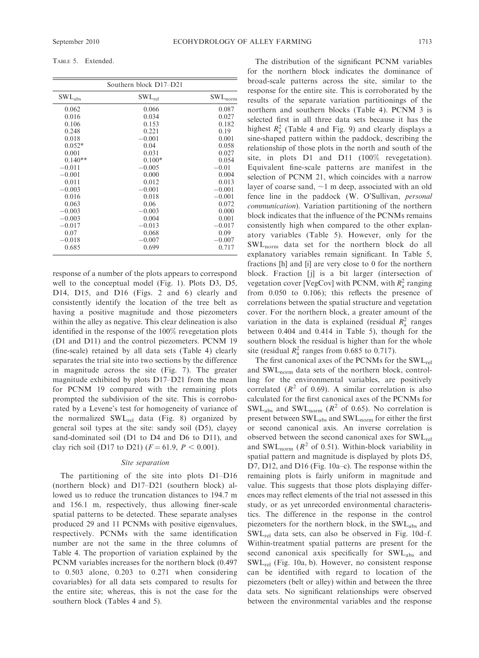TABLE 5. Extended.

|             | Southern block D17-D21 |                            |
|-------------|------------------------|----------------------------|
| $SWL_{abs}$ | $SWL_{rel}$            | $\text{SWL}_{\text{norm}}$ |
| 0.062       | 0.066                  | 0.087                      |
| 0.016       | 0.034                  | 0.027                      |
| 0.106       | 0.153                  | 0.182                      |
| 0.248       | 0.221                  | 0.19                       |
| 0.018       | $-0.001$               | 0.001                      |
| $0.052*$    | 0.04                   | 0.058                      |
| 0.001       | 0.031                  | 0.027                      |
| $0.140**$   | $0.100*$               | 0.054                      |
| $-0.011$    | $-0.005$               | $-0.01$                    |
| $-0.001$    | 0.000                  | 0.004                      |
| 0.011       | 0.012                  | 0.013                      |
| $-0.003$    | $-0.001$               | $-0.001$                   |
| 0.016       | 0.018                  | $-0.001$                   |
| 0.063       | 0.06                   | 0.072                      |
| $-0.003$    | $-0.003$               | 0.000                      |
| $-0.003$    | 0.004                  | 0.001                      |
| $-0.017$    | $-0.013$               | $-0.017$                   |
| 0.07        | 0.068                  | 0.09                       |
| $-0.018$    | $-0.007$               | $-0.007$                   |
| 0.685       | 0.699                  | 0.717                      |

response of a number of the plots appears to correspond well to the conceptual model (Fig. 1). Plots D3, D5, D14, D15, and D16 (Figs. 2 and 6) clearly and consistently identify the location of the tree belt as having a positive magnitude and those piezometers within the alley as negative. This clear delineation is also identified in the response of the 100% revegetation plots (D1 and D11) and the control piezometers. PCNM 19 (fine-scale) retained by all data sets (Table 4) clearly separates the trial site into two sections by the difference in magnitude across the site (Fig. 7). The greater magnitude exhibited by plots D17–D21 from the mean for PCNM 19 compared with the remaining plots prompted the subdivision of the site. This is corroborated by a Levene's test for homogeneity of variance of the normalized  $SWL_{rel}$  data (Fig. 8) organized by general soil types at the site: sandy soil (D5), clayey sand-dominated soil (D1 to D4 and D6 to D11), and clay rich soil (D17 to D21) ( $F = 61.9$ ,  $P < 0.001$ ).

#### Site separation

The partitioning of the site into plots D1–D16 (northern block) and D17–D21 (southern block) allowed us to reduce the truncation distances to 194.7 m and 156.1 m, respectively, thus allowing finer-scale spatial patterns to be detected. These separate analyses produced 29 and 11 PCNMs with positive eigenvalues, respectively. PCNMs with the same identification number are not the same in the three columns of Table 4. The proportion of variation explained by the PCNM variables increases for the northern block (0.497 to 0.503 alone, 0.203 to 0.271 when considering covariables) for all data sets compared to results for the entire site; whereas, this is not the case for the southern block (Tables 4 and 5).

The distribution of the significant PCNM variables for the northern block indicates the dominance of broad-scale patterns across the site, similar to the response for the entire site. This is corroborated by the results of the separate variation partitionings of the northern and southern blocks (Table 4). PCNM 3 is selected first in all three data sets because it has the highest  $R_a^2$  (Table 4 and Fig. 9) and clearly displays a sine-shaped pattern within the paddock, describing the relationship of those plots in the north and south of the site, in plots D1 and D11 (100% revegetation). Equivalent fine-scale patterns are manifest in the selection of PCNM 21, which coincides with a narrow layer of coarse sand,  $\sim$ 1 m deep, associated with an old fence line in the paddock (W. O'Sullivan, personal communication). Variation partitioning of the northern block indicates that the influence of the PCNMs remains consistently high when compared to the other explanatory variables (Table 5). However, only for the SWLnorm data set for the northern block do all explanatory variables remain significant. In Table 5, fractions [h] and [i] are very close to 0 for the northern block. Fraction [j] is a bit larger (intersection of vegetation cover [VegCov] with PCNM, with  $R_a^2$  ranging from 0.050 to 0.106); this reflects the presence of correlations between the spatial structure and vegetation cover. For the northern block, a greater amount of the variation in the data is explained (residual  $R_a^2$  ranges between 0.404 and 0.414 in Table 5), though for the southern block the residual is higher than for the whole site (residual  $R_a^2$  ranges from 0.685 to 0.717).

The first canonical axes of the PCNMs for the SWL<sub>rel</sub> and SWLnorm data sets of the northern block, controlling for the environmental variables, are positively correlated  $(R^2$  of 0.69). A similar correlation is also calculated for the first canonical axes of the PCNMs for  $SWL<sub>abs</sub>$  and  $SWL<sub>norm</sub>$  ( $R<sup>2</sup>$  of 0.65). No correlation is present between SWL<sub>abs</sub> and SWL<sub>norm</sub> for either the first or second canonical axis. An inverse correlation is observed between the second canonical axes for  $SWL_{rel}$ and SWL<sub>norm</sub> ( $R^2$  of 0.51). Within-block variability in spatial pattern and magnitude is displayed by plots D5, D7, D12, and D16 (Fig. 10a–c). The response within the remaining plots is fairly uniform in magnitude and value. This suggests that those plots displaying differences may reflect elements of the trial not assessed in this study, or as yet unrecorded environmental characteristics. The difference in the response in the control piezometers for the northern block, in the SWL<sub>abs</sub> and SWLrel data sets, can also be observed in Fig. 10d–f. Within-treatment spatial patterns are present for the second canonical axis specifically for SWL<sub>abs</sub> and  $SWL_{rel}$  (Fig. 10a, b). However, no consistent response can be identified with regard to location of the piezometers (belt or alley) within and between the three data sets. No significant relationships were observed between the environmental variables and the response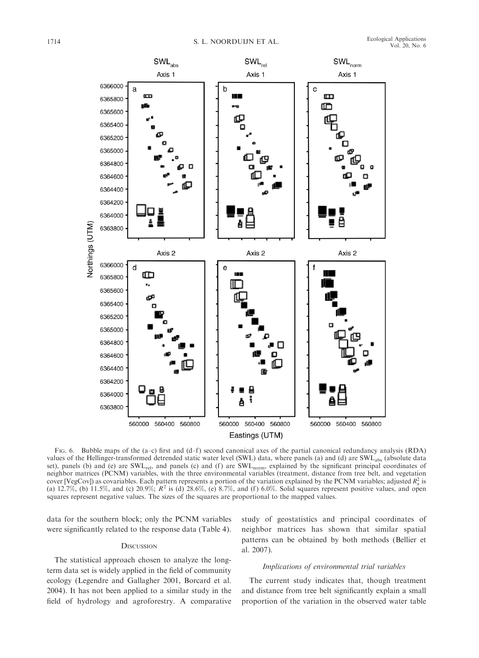

FIG. 6. Bubble maps of the (a–c) first and (d–f) second canonical axes of the partial canonical redundancy analysis (RDA) values of the Hellinger-transformed detrended static water level (SWL) data, where panels (a) and (d) are SWLabs (absolute data set), panels (b) and (e) are SWL<sub>rel</sub>, and panels (c) and (f) are SWL<sub>norm</sub>, explained by the significant principal coordinates of neighbor matrices (PCNM) variables, with the three environmental variables (treatment, distance from tree belt, and vegetation cover [VegCov]) as covariables. Each pattern represents a portion of the variation explained by the PCNM variables; adjusted  $R_a^2$  is (a)  $12.7\%$ , (b)  $11.5\%$ , and (c)  $20.9\%$ ;  $R^2$  is (d)  $28.6\%$ , (e)  $8.7\%$ , and (f)  $6.0\%$ . Solid squares represent positive values, and open squares represent negative values. The sizes of the squares are proportional to the mapped values.

data for the southern block; only the PCNM variables were significantly related to the response data (Table 4).

# **DISCUSSION**

The statistical approach chosen to analyze the longterm data set is widely applied in the field of community ecology (Legendre and Gallagher 2001, Borcard et al. 2004). It has not been applied to a similar study in the field of hydrology and agroforestry. A comparative study of geostatistics and principal coordinates of neighbor matrices has shown that similar spatial patterns can be obtained by both methods (Bellier et al. 2007).

# Implications of environmental trial variables

The current study indicates that, though treatment and distance from tree belt significantly explain a small proportion of the variation in the observed water table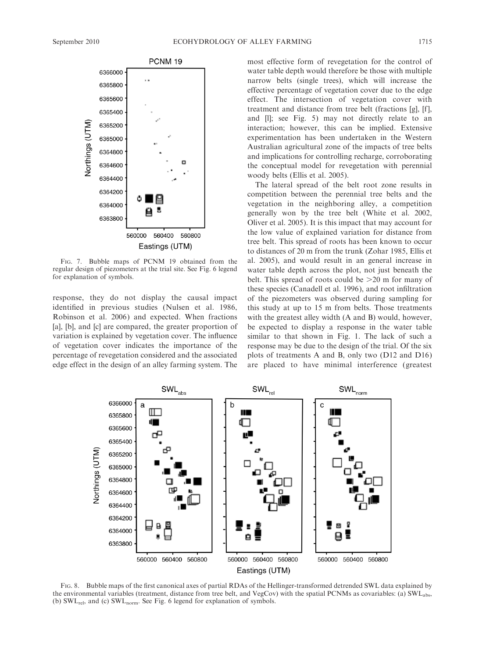

FIG. 7. Bubble maps of PCNM 19 obtained from the regular design of piezometers at the trial site. See Fig. 6 legend for explanation of symbols.

response, they do not display the causal impact identified in previous studies (Nulsen et al. 1986, Robinson et al. 2006) and expected. When fractions [a], [b], and [c] are compared, the greater proportion of variation is explained by vegetation cover. The influence of vegetation cover indicates the importance of the percentage of revegetation considered and the associated edge effect in the design of an alley farming system. The most effective form of revegetation for the control of water table depth would therefore be those with multiple narrow belts (single trees), which will increase the effective percentage of vegetation cover due to the edge effect. The intersection of vegetation cover with treatment and distance from tree belt (fractions [g], [f], and [l]; see Fig. 5) may not directly relate to an interaction; however, this can be implied. Extensive experimentation has been undertaken in the Western Australian agricultural zone of the impacts of tree belts and implications for controlling recharge, corroborating the conceptual model for revegetation with perennial woody belts (Ellis et al. 2005).

The lateral spread of the belt root zone results in competition between the perennial tree belts and the vegetation in the neighboring alley, a competition generally won by the tree belt (White et al. 2002, Oliver et al. 2005). It is this impact that may account for the low value of explained variation for distance from tree belt. This spread of roots has been known to occur to distances of 20 m from the trunk (Zohar 1985, Ellis et al. 2005), and would result in an general increase in water table depth across the plot, not just beneath the belt. This spread of roots could be  $>20$  m for many of these species (Canadell et al. 1996), and root infiltration of the piezometers was observed during sampling for this study at up to 15 m from belts. Those treatments with the greatest alley width (A and B) would, however, be expected to display a response in the water table similar to that shown in Fig. 1. The lack of such a response may be due to the design of the trial. Of the six plots of treatments A and B, only two (D12 and D16) are placed to have minimal interference (greatest



FIG. 8. Bubble maps of the first canonical axes of partial RDAs of the Hellinger-transformed detrended SWL data explained by the environmental variables (treatment, distance from tree belt, and VegCov) with the spatial PCNMs as covariables: (a) SWLabs, (b)  $SWL_{rel}$ , and (c)  $SWL_{norm}$ . See Fig. 6 legend for explanation of symbols.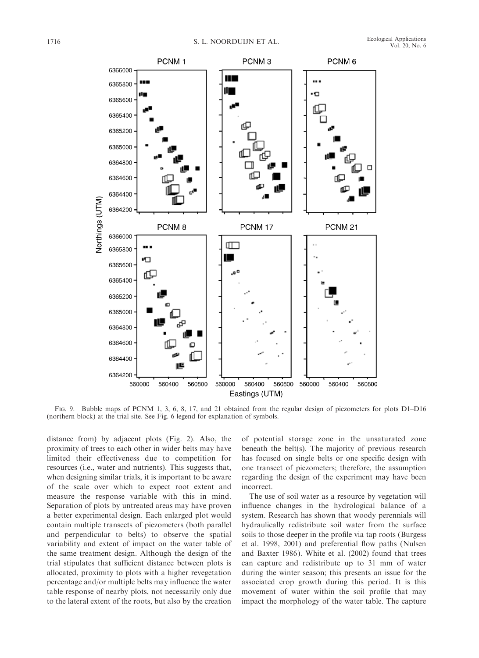

FIG. 9. Bubble maps of PCNM 1, 3, 6, 8, 17, and 21 obtained from the regular design of piezometers for plots D1–D16 (northern block) at the trial site. See Fig. 6 legend for explanation of symbols.

distance from) by adjacent plots (Fig. 2). Also, the proximity of trees to each other in wider belts may have limited their effectiveness due to competition for resources (i.e., water and nutrients). This suggests that, when designing similar trials, it is important to be aware of the scale over which to expect root extent and measure the response variable with this in mind. Separation of plots by untreated areas may have proven a better experimental design. Each enlarged plot would contain multiple transects of piezometers (both parallel and perpendicular to belts) to observe the spatial variability and extent of impact on the water table of the same treatment design. Although the design of the trial stipulates that sufficient distance between plots is allocated, proximity to plots with a higher revegetation percentage and/or multiple belts may influence the water table response of nearby plots, not necessarily only due to the lateral extent of the roots, but also by the creation

of potential storage zone in the unsaturated zone beneath the belt(s). The majority of previous research has focused on single belts or one specific design with one transect of piezometers; therefore, the assumption regarding the design of the experiment may have been incorrect.

The use of soil water as a resource by vegetation will influence changes in the hydrological balance of a system. Research has shown that woody perennials will hydraulically redistribute soil water from the surface soils to those deeper in the profile via tap roots (Burgess et al. 1998, 2001) and preferential flow paths (Nulsen and Baxter 1986). White et al. (2002) found that trees can capture and redistribute up to 31 mm of water during the winter season; this presents an issue for the associated crop growth during this period. It is this movement of water within the soil profile that may impact the morphology of the water table. The capture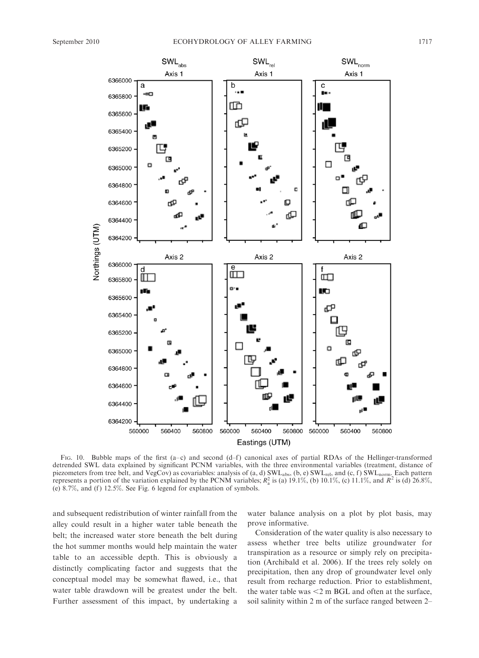

FIG. 10. Bubble maps of the first  $(a-c)$  and second  $(d-f)$  canonical axes of partial RDAs of the Hellinger-transformed detrended SWL data explained by significant PCNM variables, with the three environmental variables (treatment, distance of piezometers from tree belt, and VegCov) as covariables: analysis of (a, d)  $SWL_{abs}$ , (b, e)  $SWL_{rel}$ , and (c, f)  $SWL_{norm}$ . Each pattern represents a portion of the variation explained by the PCNM variables;  $R_a^2$  is (a) 19.1%, (b) 10.1%, (c) 11.1%, and  $R^2$  is (d) 26.8%, (e)  $8.7\%$ , and (f)  $12.5\%$ . See Fig. 6 legend for explanation of symbols.

and subsequent redistribution of winter rainfall from the alley could result in a higher water table beneath the belt; the increased water store beneath the belt during the hot summer months would help maintain the water table to an accessible depth. This is obviously a distinctly complicating factor and suggests that the conceptual model may be somewhat flawed, i.e., that water table drawdown will be greatest under the belt. Further assessment of this impact, by undertaking a water balance analysis on a plot by plot basis, may prove informative.

Consideration of the water quality is also necessary to assess whether tree belts utilize groundwater for transpiration as a resource or simply rely on precipitation (Archibald et al. 2006). If the trees rely solely on precipitation, then any drop of groundwater level only result from recharge reduction. Prior to establishment, the water table was  $\leq$  2 m BGL and often at the surface, soil salinity within 2 m of the surface ranged between 2–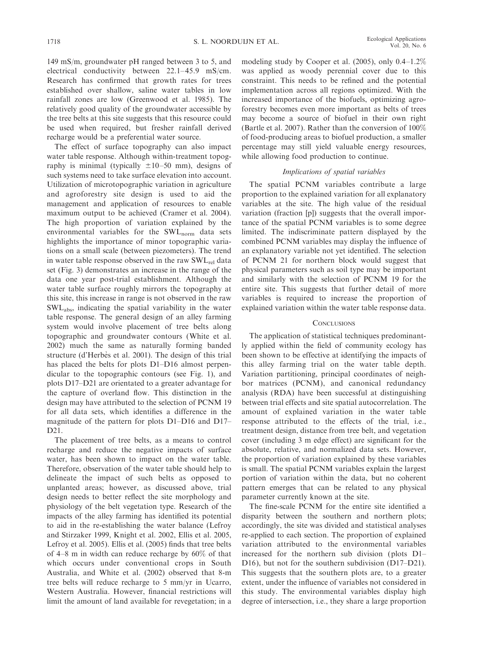149 mS/m, groundwater pH ranged between 3 to 5, and electrical conductivity between 22.1–45.9 mS/cm. Research has confirmed that growth rates for trees established over shallow, saline water tables in low rainfall zones are low (Greenwood et al. 1985). The relatively good quality of the groundwater accessible by the tree belts at this site suggests that this resource could be used when required, but fresher rainfall derived recharge would be a preferential water source.

The effect of surface topography can also impact water table response. Although within-treatment topography is minimal (typically  $\pm 10-50$  mm), designs of such systems need to take surface elevation into account. Utilization of microtopographic variation in agriculture and agroforestry site design is used to aid the management and application of resources to enable maximum output to be achieved (Cramer et al. 2004). The high proportion of variation explained by the environmental variables for the  $SWL_{norm}$  data sets highlights the importance of minor topographic variations on a small scale (between piezometers). The trend in water table response observed in the raw SWLrel data set (Fig. 3) demonstrates an increase in the range of the data one year post-trial establishment. Although the water table surface roughly mirrors the topography at this site, this increase in range is not observed in the raw SWLabs, indicating the spatial variability in the water table response. The general design of an alley farming system would involve placement of tree belts along topographic and groundwater contours (White et al. 2002) much the same as naturally forming banded structure (d'Herbès et al. 2001). The design of this trial has placed the belts for plots D1–D16 almost perpendicular to the topographic contours (see Fig. 1), and plots D17–D21 are orientated to a greater advantage for the capture of overland flow. This distinction in the design may have attributed to the selection of PCNM 19 for all data sets, which identifies a difference in the magnitude of the pattern for plots D1–D16 and D17– D<sub>21</sub>.

The placement of tree belts, as a means to control recharge and reduce the negative impacts of surface water, has been shown to impact on the water table. Therefore, observation of the water table should help to delineate the impact of such belts as opposed to unplanted areas; however, as discussed above, trial design needs to better reflect the site morphology and physiology of the belt vegetation type. Research of the impacts of the alley farming has identified its potential to aid in the re-establishing the water balance (Lefroy and Stirzaker 1999, Knight et al. 2002, Ellis et al. 2005, Lefroy et al. 2005). Ellis et al. (2005) finds that tree belts of 4–8 m in width can reduce recharge by 60% of that which occurs under conventional crops in South Australia, and White et al. (2002) observed that 8-m tree belts will reduce recharge to 5 mm/yr in Ucarro, Western Australia. However, financial restrictions will limit the amount of land available for revegetation; in a modeling study by Cooper et al. (2005), only 0.4–1.2% was applied as woody perennial cover due to this constraint. This needs to be refined and the potential implementation across all regions optimized. With the increased importance of the biofuels, optimizing agroforestry becomes even more important as belts of trees may become a source of biofuel in their own right (Bartle et al. 2007). Rather than the conversion of 100% of food-producing areas to biofuel production, a smaller percentage may still yield valuable energy resources, while allowing food production to continue.

# Implications of spatial variables

The spatial PCNM variables contribute a large proportion to the explained variation for all explanatory variables at the site. The high value of the residual variation (fraction [p]) suggests that the overall importance of the spatial PCNM variables is to some degree limited. The indiscriminate pattern displayed by the combined PCNM variables may display the influence of an explanatory variable not yet identified. The selection of PCNM 21 for northern block would suggest that physical parameters such as soil type may be important and similarly with the selection of PCNM 19 for the entire site. This suggests that further detail of more variables is required to increase the proportion of explained variation within the water table response data.

# **CONCLUSIONS**

The application of statistical techniques predominantly applied within the field of community ecology has been shown to be effective at identifying the impacts of this alley farming trial on the water table depth. Variation partitioning, principal coordinates of neighbor matrices (PCNM), and canonical redundancy analysis (RDA) have been successful at distinguishing between trial effects and site spatial autocorrelation. The amount of explained variation in the water table response attributed to the effects of the trial, i.e., treatment design, distance from tree belt, and vegetation cover (including 3 m edge effect) are significant for the absolute, relative, and normalized data sets. However, the proportion of variation explained by these variables is small. The spatial PCNM variables explain the largest portion of variation within the data, but no coherent pattern emerges that can be related to any physical parameter currently known at the site.

The fine-scale PCNM for the entire site identified a disparity between the southern and northern plots; accordingly, the site was divided and statistical analyses re-applied to each section. The proportion of explained variation attributed to the environmental variables increased for the northern sub division (plots D1– D16), but not for the southern subdivision (D17–D21). This suggests that the southern plots are, to a greater extent, under the influence of variables not considered in this study. The environmental variables display high degree of intersection, i.e., they share a large proportion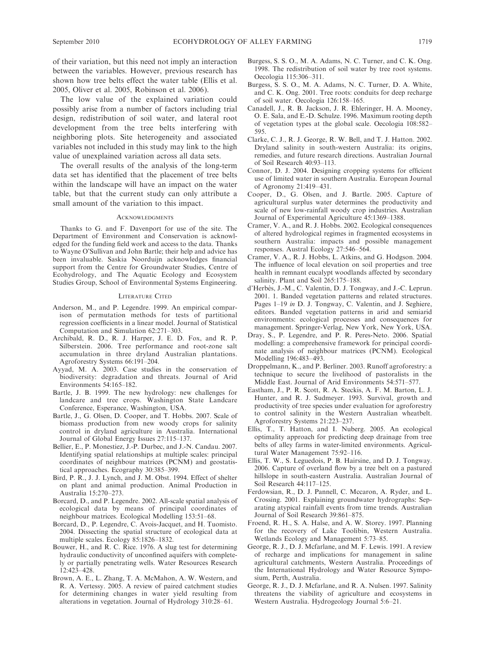of their variation, but this need not imply an interaction between the variables. However, previous research has shown how tree belts effect the water table (Ellis et al. 2005, Oliver et al. 2005, Robinson et al. 2006).

The low value of the explained variation could possibly arise from a number of factors including trial design, redistribution of soil water, and lateral root development from the tree belts interfering with neighboring plots. Site heterogeneity and associated variables not included in this study may link to the high value of unexplained variation across all data sets.

The overall results of the analysis of the long-term data set has identified that the placement of tree belts within the landscape will have an impact on the water table, but that the current study can only attribute a small amount of the variation to this impact.

## **ACKNOWLEDGMENTS**

Thanks to G. and F. Davenport for use of the site. The Department of Environment and Conservation is acknowledged for the funding field work and access to the data. Thanks to Wayne O'Sullivan and John Bartle; their help and advice has been invaluable. Saskia Noorduijn acknowledges financial support from the Centre for Groundwater Studies, Centre of Ecohydrology, and The Aquatic Ecology and Ecosystem Studies Group, School of Environmental Systems Engineering.

#### LITERATURE CITED

- Anderson, M., and P. Legendre. 1999. An empirical comparison of permutation methods for tests of partitional regression coefficients in a linear model. Journal of Statistical Computation and Simulation 62:271–303.
- Archibald, R. D., R. J. Harper, J. E. D. Fox, and R. P. Silberstein. 2006. Tree performance and root-zone salt accumulation in three dryland Australian plantations. Agroforestry Systems 66:191–204.
- Ayyad, M. A. 2003. Case studies in the conservation of biodiversity: degradation and threats. Journal of Arid Environments 54:165–182.
- Bartle, J. B. 1999. The new hydrology: new challenges for landcare and tree crops. Washington State Landcare Conference, Esperance, Washington, USA.
- Bartle, J., G. Olsen, D. Cooper, and T. Hobbs. 2007. Scale of biomass production from new woody crops for salinity control in dryland agriculture in Australia. International Journal of Global Energy Issues 27:115–137.
- Bellier, E., P. Monestiez, J.-P. Durbec, and J.-N. Candau. 2007. Identifying spatial relationships at multiple scales: principal coordinates of neighbour matrices (PCNM) and geostatistical approaches. Ecography 30:385–399.
- Bird, P. R., J. J. Lynch, and J. M. Obst. 1994. Effect of shelter on plant and animal production. Animal Production in Australia 15:270–273.
- Borcard, D., and P. Legendre. 2002. All-scale spatial analysis of ecological data by means of principal coordinates of neighbour matrices. Ecological Modelling 153:51–68.
- Borcard, D., P. Legendre, C. Avois-Jacquet, and H. Tuomisto. 2004. Dissecting the spatial structure of ecological data at multiple scales. Ecology 85:1826–1832.
- Bouwer, H., and R. C. Rice. 1976. A slug test for determining hydraulic conductivity of unconfined aquifers with completely or partially penetrating wells. Water Resources Research 12:423–428.
- Brown, A. E., L. Zhang, T. A. McMahon, A. W. Western, and R. A. Vertessy. 2005. A review of paired catchment studies for determining changes in water yield resulting from alterations in vegetation. Journal of Hydrology 310:28–61.
- Burgess, S. S. O., M. A. Adams, N. C. Turner, and C. K. Ong. 1998. The redistribution of soil water by tree root systems. Oecologia 115:306–311.
- Burgess, S. S. O., M. A. Adams, N. C. Turner, D. A. White, and C. K. Ong. 2001. Tree roots: conduits for deep recharge of soil water. Oecologia 126:158–165.
- Canadell, J., R. B. Jackson, J. R. Ehleringer, H. A. Mooney, O. E. Sala, and E.-D. Schulze. 1996. Maximum rooting depth of vegetation types at the global scale. Oecologia 108:582– 595.
- Clarke, C. J., R. J. George, R. W. Bell, and T. J. Hatton. 2002. Dryland salinity in south-western Australia: its origins, remedies, and future research directions. Australian Journal of Soil Research 40:93–113.
- Connor, D. J. 2004. Designing cropping systems for efficient use of limited water in southern Australia. European Journal of Agronomy 21:419–431.
- Cooper, D., G. Olsen, and J. Bartle. 2005. Capture of agricultural surplus water determines the productivity and scale of new low-rainfall woody crop industries. Australian Journal of Experimental Agriculture 45:1369–1388.
- Cramer, V. A., and R. J. Hobbs. 2002. Ecological consequences of altered hydrological regimes in fragmented ecosystems in southern Australia: impacts and possible management responses. Austral Ecology 27:546–564.
- Cramer, V. A., R. J. Hobbs, L. Atkins, and G. Hodgson. 2004. The influence of local elevation on soil properties and tree health in remnant eucalypt woodlands affected by secondary salinity. Plant and Soil 265:175–188.
- d'Herbès, J.-M., C. Valentin, D. J. Tongway, and J.-C. Leprun. 2001. 1. Banded vegetation patterns and related structures. Pages 1–19 in D. J. Tongway, C. Valentin, and J. Seghiere, editors. Banded vegetation patterns in arid and semiarid environments: ecological processes and consequences for management. Springer-Verlag, New York, New York, USA.
- Dray, S., P. Legendre, and P. R. Peres-Neto. 2006. Spatial modelling: a comprehensive framework for principal coordinate analysis of neighbour matrices (PCNM). Ecological Modelling 196:483–493.
- Droppelmann, K., and P. Berliner. 2003. Runoff agroforestry: a technique to secure the livelihood of pastoralists in the Middle East. Journal of Arid Environments 54:571–577.
- Eastham, J., P. R. Scott, R. A. Steckis, A. F. M. Barton, L. J. Hunter, and R. J. Sudmeyer. 1993. Survival, growth and productivity of tree species under evaluation for agroforestry to control salinity in the Western Australian wheatbelt. Agroforestry Systems 21:223–237.
- Ellis, T., T. Hatton, and I. Nuberg. 2005. An ecological optimality approach for predicting deep drainage from tree belts of alley farms in water-limited environments. Agricultural Water Management 75:92–116.
- Ellis, T. W., S. Leguedois, P. B. Hairsine, and D. J. Tongway. 2006. Capture of overland flow by a tree belt on a pastured hillslope in south-eastern Australia. Australian Journal of Soil Research 44:117–125.
- Ferdowsian, R., D. J. Pannell, C. Mccaron, A. Ryder, and L. Crossing. 2001. Explaining groundwater hydrographs: Separating atypical rainfall events from time trends. Australian Journal of Soil Research 39:861–875.
- Froend, R. H., S. A. Halse, and A. W. Storey. 1997. Planning for the recovery of Lake Toolibin, Western Australia. Wetlands Ecology and Management 5:73–85.
- George, R. J., D. J. Mcfarlane, and M. F. Lewis. 1991. A review of recharge and implications for management in saline agricultural catchments, Western Australia. Proceedings of the International Hydrology and Water Resource Symposium, Perth, Australia.
- George, R. J., D. J. Mcfarlane, and R. A. Nulsen. 1997. Salinity threatens the viability of agriculture and ecosystems in Western Australia. Hydrogeology Journal 5:6–21.